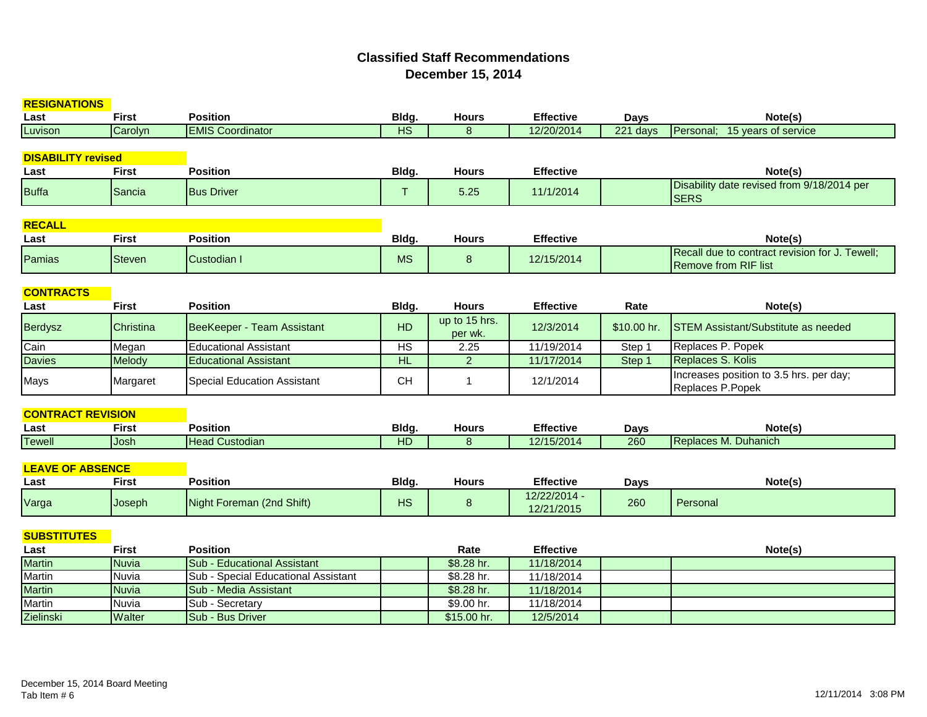## **Classified Staff RecommendationsDecember 15, 2014**

| <b>RESIGNATIONS</b>       |               |                                     |                |                          |                            |             |                                                                               |
|---------------------------|---------------|-------------------------------------|----------------|--------------------------|----------------------------|-------------|-------------------------------------------------------------------------------|
| Last                      | <b>First</b>  | <b>Position</b>                     | Bldg.          | <b>Hours</b>             | <b>Effective</b>           | <b>Days</b> | Note(s)                                                                       |
| Luvison                   | Carolyn       | <b>EMIS Coordinator</b>             | <b>HS</b>      | 8                        | 12/20/2014                 | 221 days    | Personal; 15 years of service                                                 |
|                           |               |                                     |                |                          |                            |             |                                                                               |
| <b>DISABILITY revised</b> |               |                                     |                |                          |                            |             |                                                                               |
| Last                      | <b>First</b>  | <b>Position</b>                     | Bldg.          | <b>Hours</b>             | <b>Effective</b>           |             | Note(s)                                                                       |
| <b>Buffa</b>              | Sancia        | <b>Bus Driver</b>                   | T.             | 5.25                     | 11/1/2014                  |             | Disability date revised from 9/18/2014 per<br><b>SERS</b>                     |
| <b>RECALL</b>             |               |                                     |                |                          |                            |             |                                                                               |
| Last                      | <b>First</b>  | <b>Position</b>                     | Bldg.          | <b>Hours</b>             | <b>Effective</b>           |             | Note(s)                                                                       |
| Pamias                    | <b>Steven</b> | Custodian I                         | <b>MS</b>      | 8                        | 12/15/2014                 |             | Recall due to contract revision for J. Tewell;<br><b>Remove from RIF list</b> |
| <b>CONTRACTS</b>          |               |                                     |                |                          |                            |             |                                                                               |
| Last                      | <b>First</b>  | <b>Position</b>                     | Bldg.          | <b>Hours</b>             | <b>Effective</b>           | Rate        | Note(s)                                                                       |
| <b>Berdysz</b>            | Christina     | BeeKeeper - Team Assistant          | <b>HD</b>      | up to 15 hrs.<br>per wk. | 12/3/2014                  | \$10.00 hr. | <b>STEM Assistant/Substitute as needed</b>                                    |
| Cain                      | Megan         | <b>Educational Assistant</b>        | H <sub>S</sub> | 2.25                     | 11/19/2014                 | Step 1      | Replaces P. Popek                                                             |
| <b>Davies</b>             | Melody        | <b>Educational Assistant</b>        | H <sub>L</sub> | $\overline{2}$           | 11/17/2014                 | Step 1      | Replaces S. Kolis                                                             |
| Mays                      | Margaret      | Special Education Assistant         | <b>CH</b>      | $\mathbf{1}$             | 12/1/2014                  |             | Increases position to 3.5 hrs. per day;<br>Replaces P.Popek                   |
|                           |               |                                     |                |                          |                            |             |                                                                               |
| <b>CONTRACT REVISION</b>  |               |                                     |                |                          |                            |             |                                                                               |
| Last                      | <b>First</b>  | <b>Position</b>                     | Bldg.          | <b>Hours</b>             | <b>Effective</b>           | <b>Days</b> | Note(s)                                                                       |
| <b>Tewell</b>             | Josh          | <b>Head Custodian</b>               | HD             | 8                        | 12/15/2014                 | 260         | Replaces M. Duhanich                                                          |
| <b>LEAVE OF ABSENCE</b>   |               |                                     |                |                          |                            |             |                                                                               |
| Last                      | <b>First</b>  | <b>Position</b>                     | Bldg.          | <b>Hours</b>             | <b>Effective</b>           | <b>Days</b> | Note(s)                                                                       |
| Varga                     | Joseph        | Night Foreman (2nd Shift)           | <b>HS</b>      | 8                        | 12/22/2014 -<br>12/21/2015 | 260         | Personal                                                                      |
| <b>SUBSTITUTES</b>        |               |                                     |                |                          |                            |             |                                                                               |
| Last                      | <b>First</b>  | <b>Position</b>                     |                | Rate                     | <b>Effective</b>           |             | Note(s)                                                                       |
| <b>Martin</b>             | <b>Nuvia</b>  | <b>Sub - Educational Assistant</b>  |                | \$8.28 hr.               | 11/18/2014                 |             |                                                                               |
| Martin                    | Nuvia         | Sub - Special Educational Assistant |                | \$8.28 hr.               | 11/18/2014                 |             |                                                                               |
| <b>Martin</b>             | <b>Nuvia</b>  | Sub - Media Assistant               |                | \$8.28 hr.               | 11/18/2014                 |             |                                                                               |
| <b>Martin</b>             | Nuvia         | Sub - Secretary                     |                | \$9.00 hr.               | 11/18/2014                 |             |                                                                               |
| Zielinski                 | Walter        | Sub - Bus Driver                    |                | \$15.00 hr.              | 12/5/2014                  |             |                                                                               |
|                           |               |                                     |                |                          |                            |             |                                                                               |